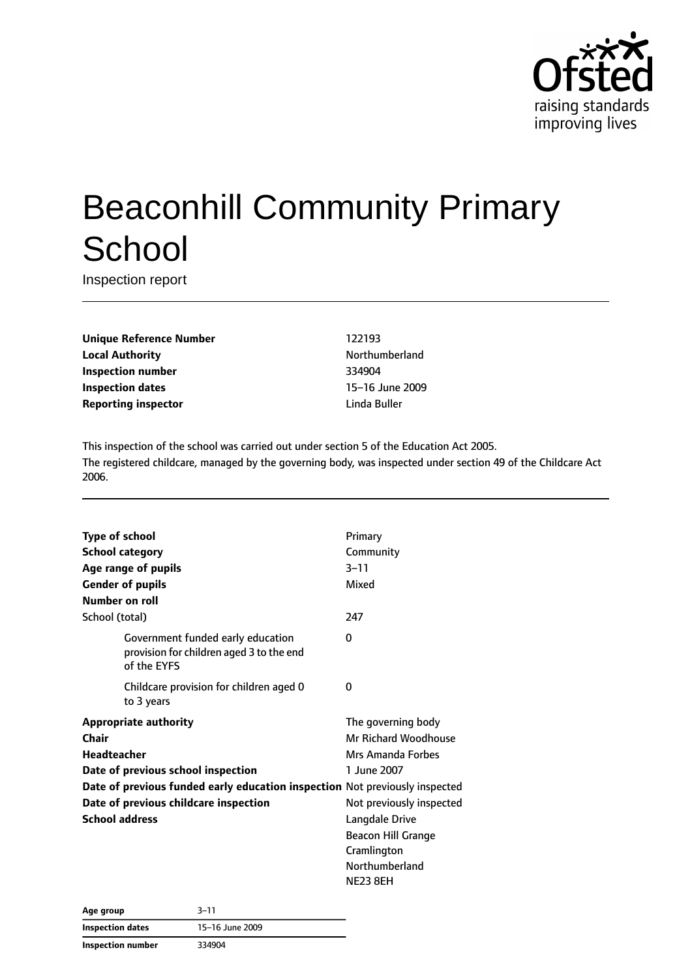

# Beaconhill Community Primary **School**

Inspection report

**Unique Reference Number** 122193 **Local Authority Northumberland Inspection number** 334904 **Inspection dates** 15–16 June 2009 **Reporting inspector and a linda Buller** Linda Buller

This inspection of the school was carried out under section 5 of the Education Act 2005. The registered childcare, managed by the governing body, was inspected under section 49 of the Childcare Act 2006.

| <b>Type of school</b>                                                                        | Primary                   |
|----------------------------------------------------------------------------------------------|---------------------------|
| <b>School category</b>                                                                       | Community                 |
| Age range of pupils                                                                          | $3 - 11$                  |
| <b>Gender of pupils</b>                                                                      | Mixed                     |
| Number on roll                                                                               |                           |
| School (total)                                                                               | 247                       |
| Government funded early education<br>provision for children aged 3 to the end<br>of the EYFS | 0                         |
| Childcare provision for children aged 0<br>to 3 years                                        | 0                         |
| <b>Appropriate authority</b>                                                                 | The governing body        |
| Chair                                                                                        | Mr Richard Woodhouse      |
| <b>Headteacher</b>                                                                           | Mrs Amanda Forbes         |
| Date of previous school inspection                                                           | 1 June 2007               |
| Date of previous funded early education inspection Not previously inspected                  |                           |
| Date of previous childcare inspection                                                        | Not previously inspected  |
| <b>School address</b>                                                                        | Langdale Drive            |
|                                                                                              | <b>Beacon Hill Grange</b> |
|                                                                                              | Cramlington               |
|                                                                                              | Northumberland            |
|                                                                                              | <b>NE23 8EH</b>           |

| Age group                | $3 - 11$        |
|--------------------------|-----------------|
| <b>Inspection dates</b>  | 15-16 June 2009 |
| <b>Inspection number</b> | 334904          |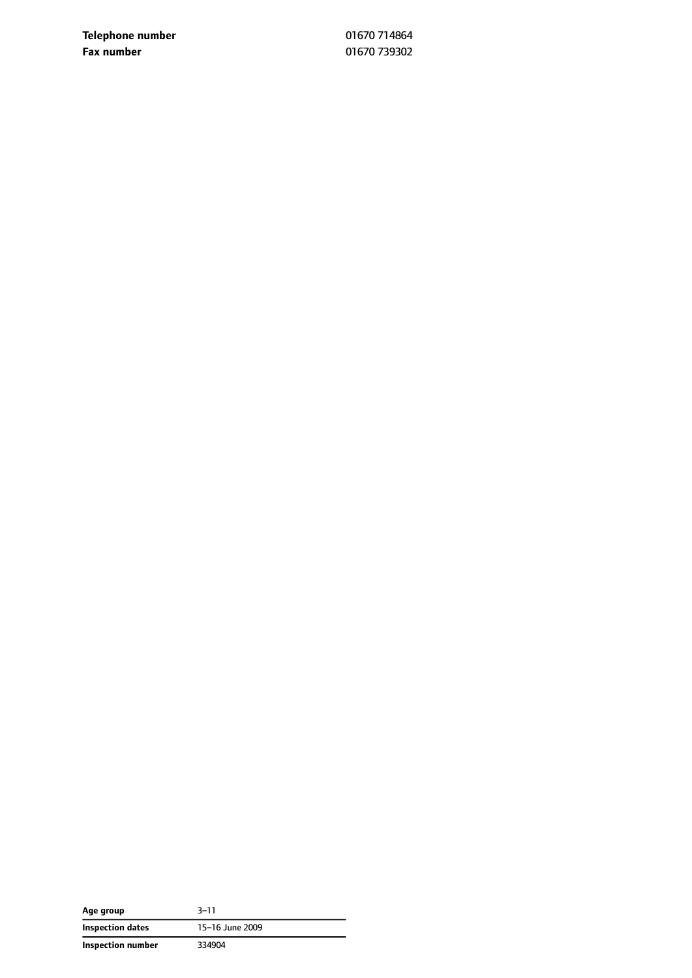**Telephone number** 01670 714864 **Fax number** 01670 739302

| Age group         | 3–11            |
|-------------------|-----------------|
| Inspection dates  | 15-16 June 2009 |
| Inspection number | 334904          |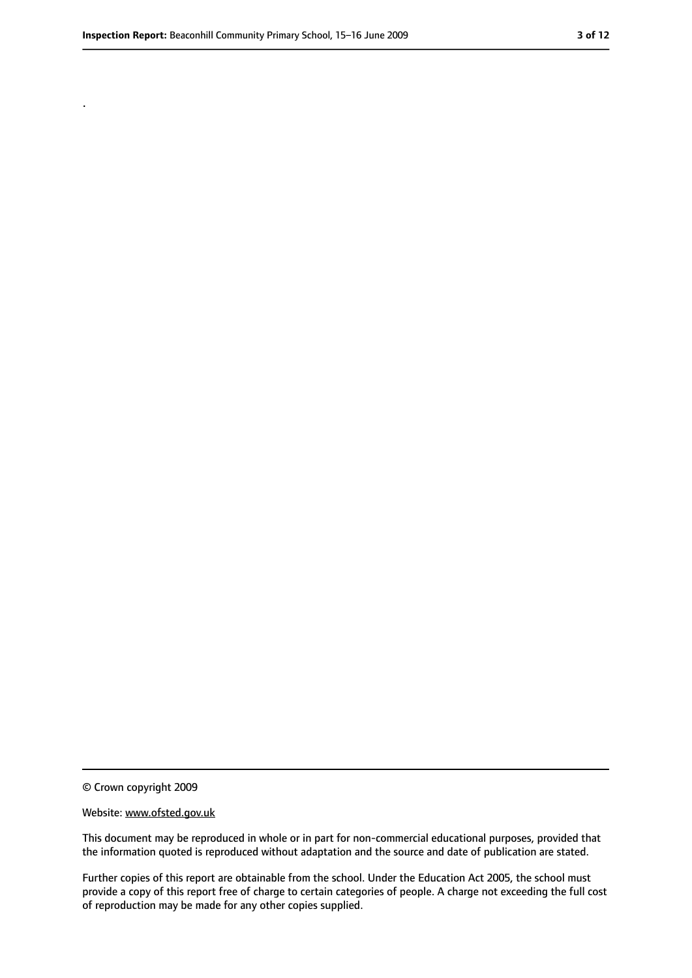.

<sup>©</sup> Crown copyright 2009

Website: www.ofsted.gov.uk

This document may be reproduced in whole or in part for non-commercial educational purposes, provided that the information quoted is reproduced without adaptation and the source and date of publication are stated.

Further copies of this report are obtainable from the school. Under the Education Act 2005, the school must provide a copy of this report free of charge to certain categories of people. A charge not exceeding the full cost of reproduction may be made for any other copies supplied.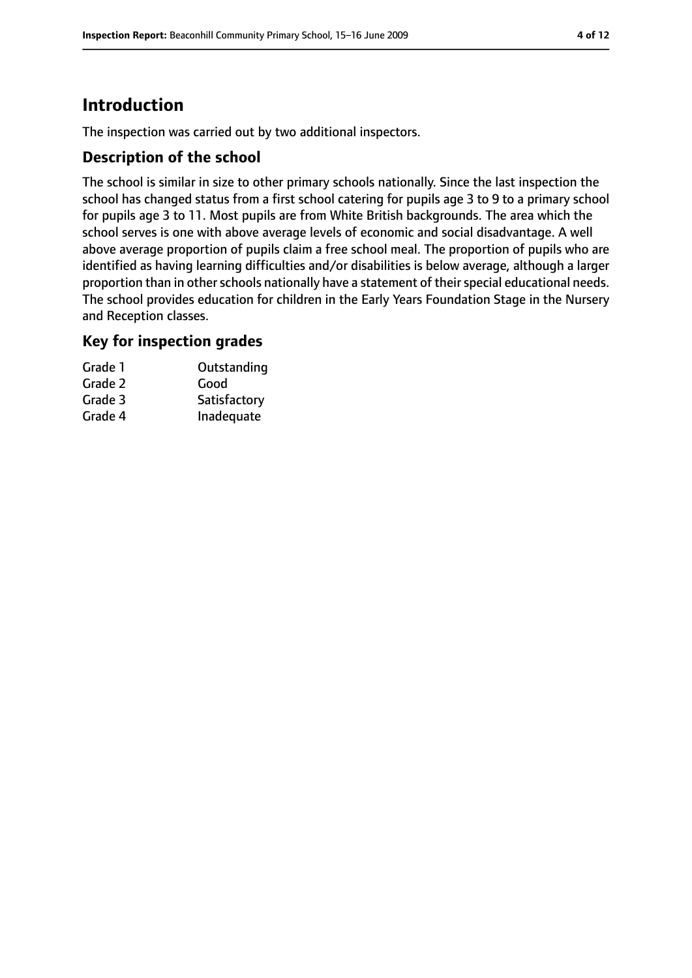# **Introduction**

The inspection was carried out by two additional inspectors.

## **Description of the school**

The school is similar in size to other primary schools nationally. Since the last inspection the school has changed status from a first school catering for pupils age 3 to 9 to a primary school for pupils age 3 to 11. Most pupils are from White British backgrounds. The area which the school serves is one with above average levels of economic and social disadvantage. A well above average proportion of pupils claim a free school meal. The proportion of pupils who are identified as having learning difficulties and/or disabilities is below average, although a larger proportion than in other schools nationally have a statement of their special educational needs. The school provides education for children in the Early Years Foundation Stage in the Nursery and Reception classes.

#### **Key for inspection grades**

| Grade 1 | Outstanding  |
|---------|--------------|
| Grade 2 | Good         |
| Grade 3 | Satisfactory |
| Grade 4 | Inadequate   |
|         |              |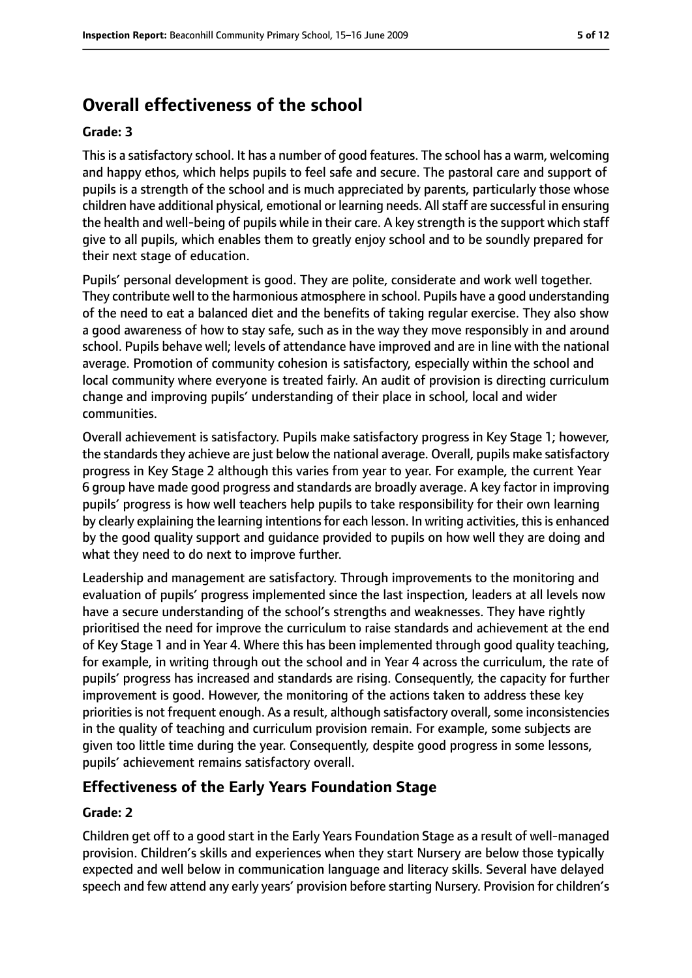# **Overall effectiveness of the school**

#### **Grade: 3**

Thisis a satisfactory school. It has a number of good features. The school has a warm, welcoming and happy ethos, which helps pupils to feel safe and secure. The pastoral care and support of pupils is a strength of the school and is much appreciated by parents, particularly those whose children have additional physical, emotional or learning needs. All staff are successful in ensuring the health and well-being of pupils while in their care. A key strength is the support which staff give to all pupils, which enables them to greatly enjoy school and to be soundly prepared for their next stage of education.

Pupils' personal development is good. They are polite, considerate and work well together. They contribute well to the harmonious atmosphere in school. Pupils have a good understanding of the need to eat a balanced diet and the benefits of taking regular exercise. They also show a good awareness of how to stay safe, such as in the way they move responsibly in and around school. Pupils behave well; levels of attendance have improved and are in line with the national average. Promotion of community cohesion is satisfactory, especially within the school and local community where everyone is treated fairly. An audit of provision is directing curriculum change and improving pupils' understanding of their place in school, local and wider communities.

Overall achievement is satisfactory. Pupils make satisfactory progress in Key Stage 1; however, the standards they achieve are just below the national average. Overall, pupils make satisfactory progress in Key Stage 2 although this varies from year to year. For example, the current Year 6 group have made good progress and standards are broadly average. A key factor in improving pupils' progress is how well teachers help pupils to take responsibility for their own learning by clearly explaining the learning intentions for each lesson. In writing activities, this is enhanced by the good quality support and guidance provided to pupils on how well they are doing and what they need to do next to improve further.

Leadership and management are satisfactory. Through improvements to the monitoring and evaluation of pupils' progress implemented since the last inspection, leaders at all levels now have a secure understanding of the school's strengths and weaknesses. They have rightly prioritised the need for improve the curriculum to raise standards and achievement at the end of Key Stage 1 and in Year 4. Where this has been implemented through good quality teaching, for example, in writing through out the school and in Year 4 across the curriculum, the rate of pupils' progress has increased and standards are rising. Consequently, the capacity for further improvement is good. However, the monitoring of the actions taken to address these key priorities is not frequent enough. As a result, although satisfactory overall, some inconsistencies in the quality of teaching and curriculum provision remain. For example, some subjects are given too little time during the year. Consequently, despite good progress in some lessons, pupils' achievement remains satisfactory overall.

## **Effectiveness of the Early Years Foundation Stage**

#### **Grade: 2**

Children get off to a good start in the Early Years Foundation Stage as a result of well-managed provision. Children's skills and experiences when they start Nursery are below those typically expected and well below in communication language and literacy skills. Several have delayed speech and few attend any early years' provision before starting Nursery. Provision for children's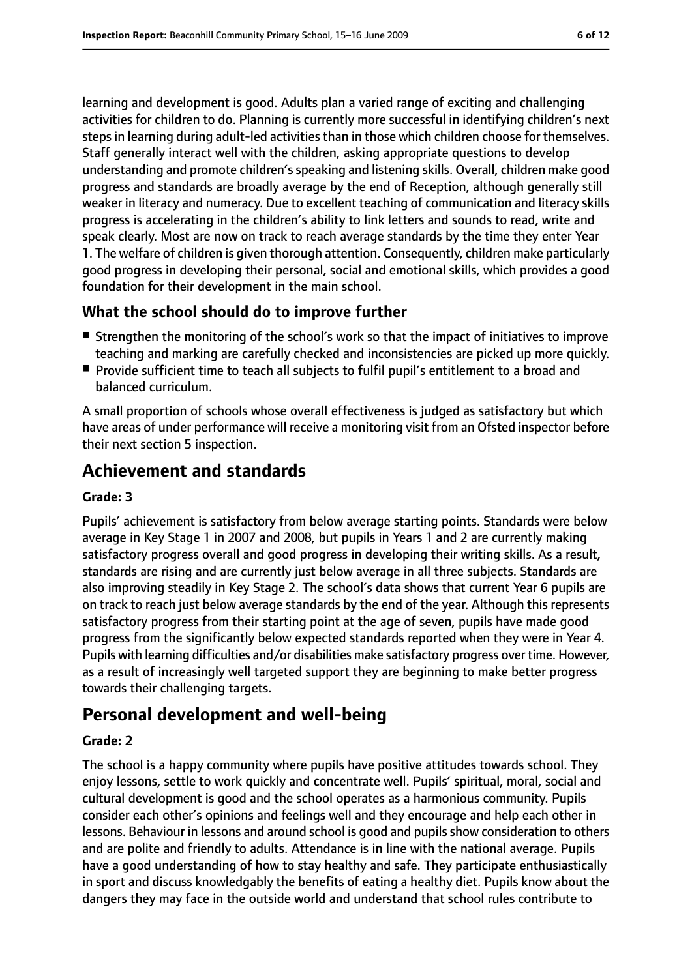learning and development is good. Adults plan a varied range of exciting and challenging activities for children to do. Planning is currently more successful in identifying children's next steps in learning during adult-led activities than in those which children choose for themselves. Staff generally interact well with the children, asking appropriate questions to develop understanding and promote children'sspeaking and listening skills. Overall, children make good progress and standards are broadly average by the end of Reception, although generally still weaker in literacy and numeracy. Due to excellent teaching of communication and literacy skills progress is accelerating in the children's ability to link letters and sounds to read, write and speak clearly. Most are now on track to reach average standards by the time they enter Year 1. The welfare of children is given thorough attention. Consequently, children make particularly good progress in developing their personal, social and emotional skills, which provides a good foundation for their development in the main school.

## **What the school should do to improve further**

- Strengthen the monitoring of the school's work so that the impact of initiatives to improve teaching and marking are carefully checked and inconsistencies are picked up more quickly.
- Provide sufficient time to teach all subjects to fulfil pupil's entitlement to a broad and balanced curriculum.

A small proportion of schools whose overall effectiveness is judged as satisfactory but which have areas of under performance will receive a monitoring visit from an Ofsted inspector before their next section 5 inspection.

# **Achievement and standards**

#### **Grade: 3**

Pupils' achievement is satisfactory from below average starting points. Standards were below average in Key Stage 1 in 2007 and 2008, but pupils in Years 1 and 2 are currently making satisfactory progress overall and good progress in developing their writing skills. As a result, standards are rising and are currently just below average in all three subjects. Standards are also improving steadily in Key Stage 2. The school's data shows that current Year 6 pupils are on track to reach just below average standards by the end of the year. Although this represents satisfactory progress from their starting point at the age of seven, pupils have made good progress from the significantly below expected standards reported when they were in Year 4. Pupils with learning difficulties and/or disabilities make satisfactory progress over time. However, as a result of increasingly well targeted support they are beginning to make better progress towards their challenging targets.

# **Personal development and well-being**

#### **Grade: 2**

The school is a happy community where pupils have positive attitudes towards school. They enjoy lessons, settle to work quickly and concentrate well. Pupils' spiritual, moral, social and cultural development is good and the school operates as a harmonious community. Pupils consider each other's opinions and feelings well and they encourage and help each other in lessons. Behaviour in lessons and around school is good and pupils show consideration to others and are polite and friendly to adults. Attendance is in line with the national average. Pupils have a good understanding of how to stay healthy and safe. They participate enthusiastically in sport and discuss knowledgably the benefits of eating a healthy diet. Pupils know about the dangers they may face in the outside world and understand that school rules contribute to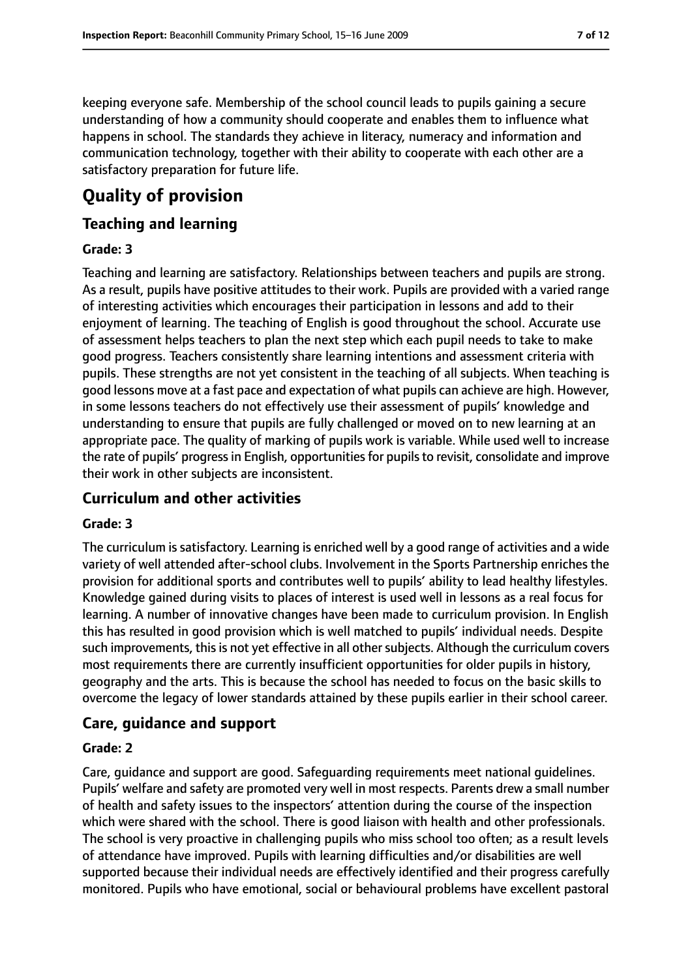keeping everyone safe. Membership of the school council leads to pupils gaining a secure understanding of how a community should cooperate and enables them to influence what happens in school. The standards they achieve in literacy, numeracy and information and communication technology, together with their ability to cooperate with each other are a satisfactory preparation for future life.

# **Quality of provision**

## **Teaching and learning**

#### **Grade: 3**

Teaching and learning are satisfactory. Relationships between teachers and pupils are strong. As a result, pupils have positive attitudes to their work. Pupils are provided with a varied range of interesting activities which encourages their participation in lessons and add to their enjoyment of learning. The teaching of English is good throughout the school. Accurate use of assessment helps teachers to plan the next step which each pupil needs to take to make good progress. Teachers consistently share learning intentions and assessment criteria with pupils. These strengths are not yet consistent in the teaching of all subjects. When teaching is good lessons move at a fast pace and expectation of what pupils can achieve are high. However, in some lessons teachers do not effectively use their assessment of pupils' knowledge and understanding to ensure that pupils are fully challenged or moved on to new learning at an appropriate pace. The quality of marking of pupils work is variable. While used well to increase the rate of pupils' progress in English, opportunities for pupils to revisit, consolidate and improve their work in other subjects are inconsistent.

## **Curriculum and other activities**

#### **Grade: 3**

The curriculum is satisfactory. Learning is enriched well by a good range of activities and a wide variety of well attended after-school clubs. Involvement in the Sports Partnership enriches the provision for additional sports and contributes well to pupils' ability to lead healthy lifestyles. Knowledge gained during visits to places of interest is used well in lessons as a real focus for learning. A number of innovative changes have been made to curriculum provision. In English this has resulted in good provision which is well matched to pupils' individual needs. Despite such improvements, this is not yet effective in all other subjects. Although the curriculum covers most requirements there are currently insufficient opportunities for older pupils in history, geography and the arts. This is because the school has needed to focus on the basic skills to overcome the legacy of lower standards attained by these pupils earlier in their school career.

#### **Care, guidance and support**

#### **Grade: 2**

Care, guidance and support are good. Safeguarding requirements meet national guidelines. Pupils' welfare and safety are promoted very well in most respects. Parents drew a small number of health and safety issues to the inspectors' attention during the course of the inspection which were shared with the school. There is good liaison with health and other professionals. The school is very proactive in challenging pupils who miss school too often; as a result levels of attendance have improved. Pupils with learning difficulties and/or disabilities are well supported because their individual needs are effectively identified and their progress carefully monitored. Pupils who have emotional, social or behavioural problems have excellent pastoral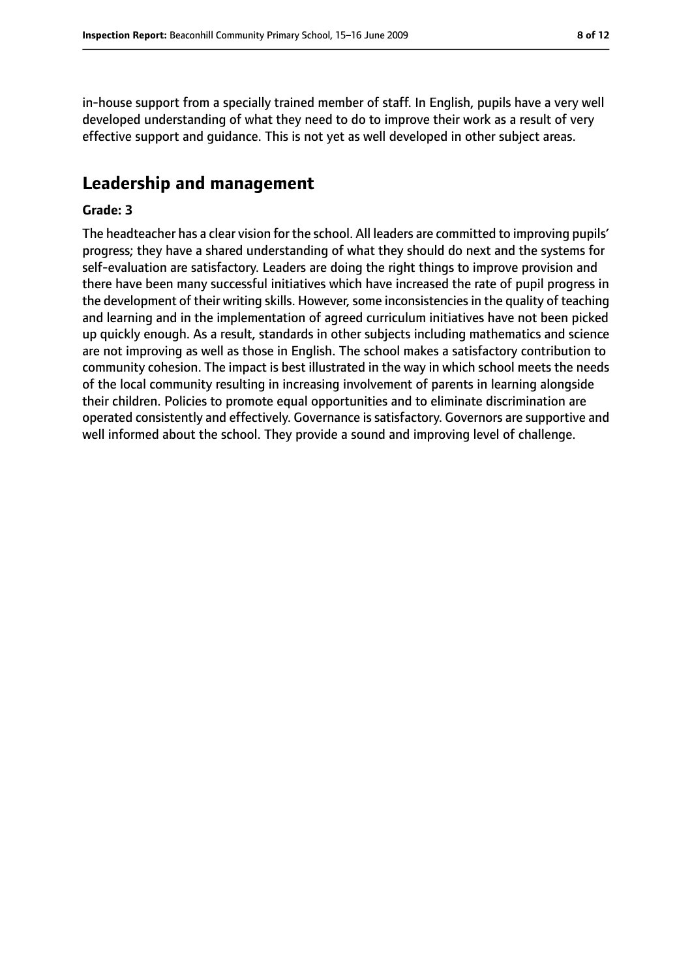in-house support from a specially trained member of staff. In English, pupils have a very well developed understanding of what they need to do to improve their work as a result of very effective support and guidance. This is not yet as well developed in other subject areas.

## **Leadership and management**

#### **Grade: 3**

The headteacher has a clear vision for the school. All leaders are committed to improving pupils' progress; they have a shared understanding of what they should do next and the systems for self-evaluation are satisfactory. Leaders are doing the right things to improve provision and there have been many successful initiatives which have increased the rate of pupil progress in the development of their writing skills. However, some inconsistencies in the quality of teaching and learning and in the implementation of agreed curriculum initiatives have not been picked up quickly enough. As a result, standards in other subjects including mathematics and science are not improving as well as those in English. The school makes a satisfactory contribution to community cohesion. The impact is best illustrated in the way in which school meets the needs of the local community resulting in increasing involvement of parents in learning alongside their children. Policies to promote equal opportunities and to eliminate discrimination are operated consistently and effectively. Governance is satisfactory. Governors are supportive and well informed about the school. They provide a sound and improving level of challenge.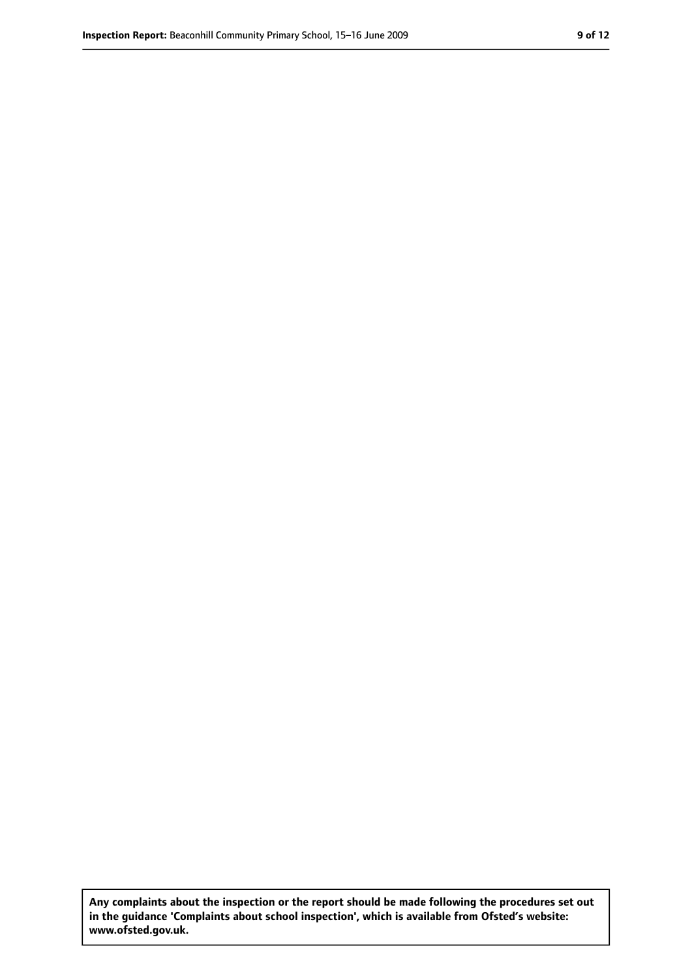**Any complaints about the inspection or the report should be made following the procedures set out in the guidance 'Complaints about school inspection', which is available from Ofsted's website: www.ofsted.gov.uk.**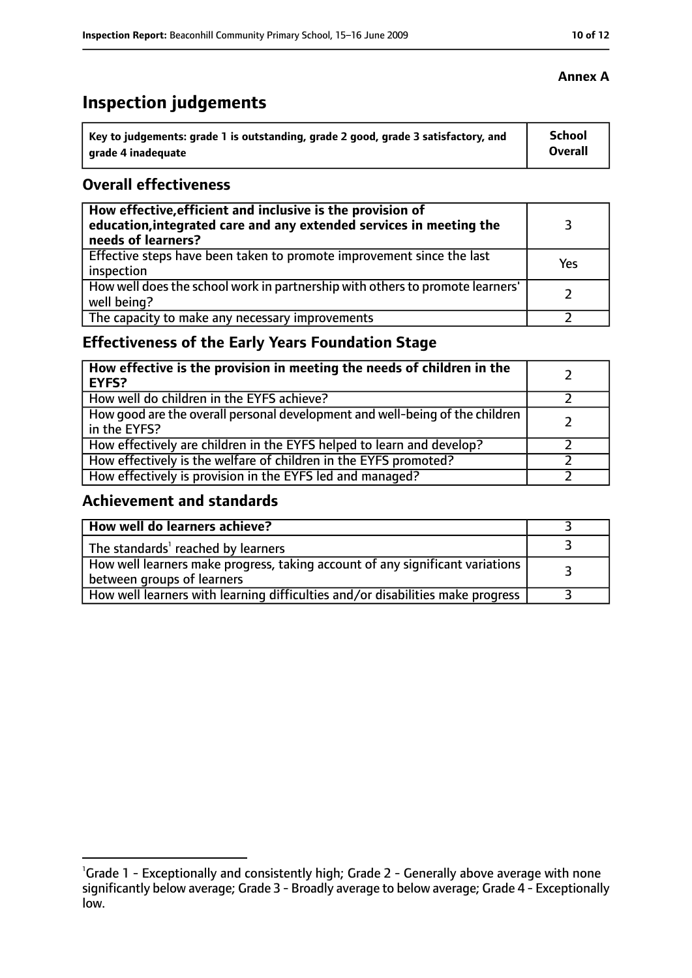# **Inspection judgements**

| Key to judgements: grade 1 is outstanding, grade 2 good, grade 3 satisfactory, and | <b>School</b> |
|------------------------------------------------------------------------------------|---------------|
| arade 4 inadequate                                                                 | Overall       |

## **Overall effectiveness**

| How effective, efficient and inclusive is the provision of<br>education, integrated care and any extended services in meeting the<br>needs of learners? |     |
|---------------------------------------------------------------------------------------------------------------------------------------------------------|-----|
| Effective steps have been taken to promote improvement since the last<br>inspection                                                                     | Yes |
| How well does the school work in partnership with others to promote learners'<br>well being?                                                            |     |
| The capacity to make any necessary improvements                                                                                                         |     |

# **Effectiveness of the Early Years Foundation Stage**

| How effective is the provision in meeting the needs of children in the<br>l EYFS?            |  |
|----------------------------------------------------------------------------------------------|--|
| How well do children in the EYFS achieve?                                                    |  |
| How good are the overall personal development and well-being of the children<br>in the EYFS? |  |
| How effectively are children in the EYFS helped to learn and develop?                        |  |
| How effectively is the welfare of children in the EYFS promoted?                             |  |
| How effectively is provision in the EYFS led and managed?                                    |  |

## **Achievement and standards**

| How well do learners achieve?                                                                               |  |
|-------------------------------------------------------------------------------------------------------------|--|
| The standards <sup>1</sup> reached by learners                                                              |  |
| How well learners make progress, taking account of any significant variations<br>between groups of learners |  |
| How well learners with learning difficulties and/or disabilities make progress                              |  |

## **Annex A**

<sup>&</sup>lt;sup>1</sup>Grade 1 - Exceptionally and consistently high; Grade 2 - Generally above average with none significantly below average; Grade 3 - Broadly average to below average; Grade 4 - Exceptionally low.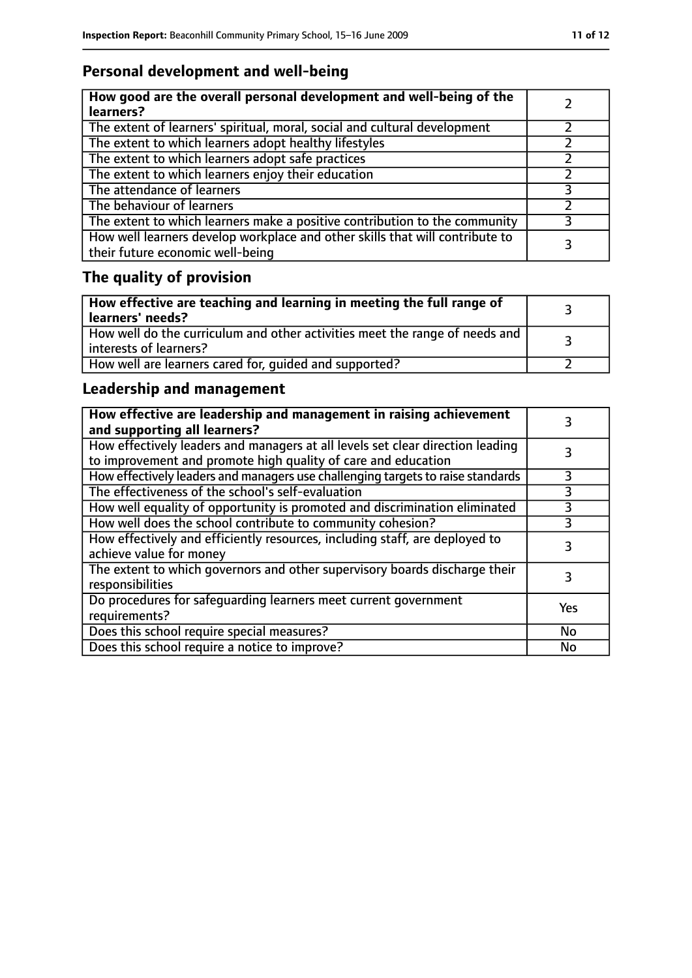# **Personal development and well-being**

| How good are the overall personal development and well-being of the<br>learners?                                 |  |
|------------------------------------------------------------------------------------------------------------------|--|
| The extent of learners' spiritual, moral, social and cultural development                                        |  |
| The extent to which learners adopt healthy lifestyles                                                            |  |
| The extent to which learners adopt safe practices                                                                |  |
| The extent to which learners enjoy their education                                                               |  |
| The attendance of learners                                                                                       |  |
| The behaviour of learners                                                                                        |  |
| The extent to which learners make a positive contribution to the community                                       |  |
| How well learners develop workplace and other skills that will contribute to<br>their future economic well-being |  |

# **The quality of provision**

| How effective are teaching and learning in meeting the full range of<br>learners' needs?              |  |
|-------------------------------------------------------------------------------------------------------|--|
| How well do the curriculum and other activities meet the range of needs and<br>interests of learners? |  |
| How well are learners cared for, quided and supported?                                                |  |

# **Leadership and management**

| How effective are leadership and management in raising achievement<br>and supporting all learners?                                              |           |
|-------------------------------------------------------------------------------------------------------------------------------------------------|-----------|
| How effectively leaders and managers at all levels set clear direction leading<br>to improvement and promote high quality of care and education |           |
| How effectively leaders and managers use challenging targets to raise standards                                                                 | 3         |
| The effectiveness of the school's self-evaluation                                                                                               | 3         |
| How well equality of opportunity is promoted and discrimination eliminated                                                                      |           |
| How well does the school contribute to community cohesion?                                                                                      | 3         |
| How effectively and efficiently resources, including staff, are deployed to<br>achieve value for money                                          | 3         |
| The extent to which governors and other supervisory boards discharge their<br>responsibilities                                                  | 3         |
| Do procedures for safequarding learners meet current government<br>requirements?                                                                | Yes       |
| Does this school require special measures?                                                                                                      | No        |
| Does this school require a notice to improve?                                                                                                   | <b>No</b> |